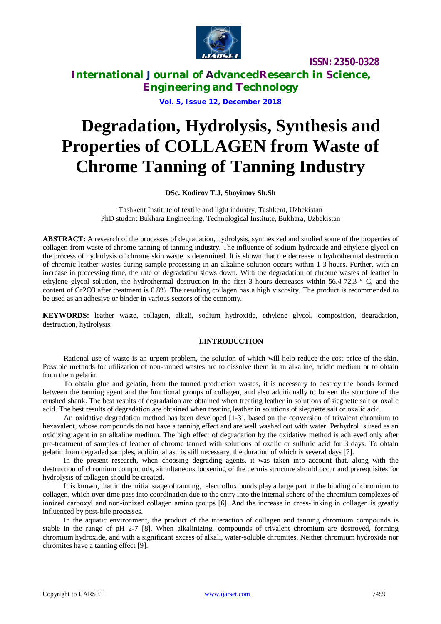

**International Journal of AdvancedResearch in Science, Engineering and Technology**

**Vol. 5, Issue 12, December 2018**

# **Degradation, Hydrolysis, Synthesis and Properties of COLLAGEN from Waste of Chrome Tanning of Tanning Industry**

### **DSc. Kodirov T.J, Shoyimov Sh.Sh**

Tashkent Institute of textile and light industry, Tashkent, Uzbekistan PhD student Bukhara Engineering, Technological Institute, Bukhara, Uzbekistan

**ABSTRACT:** A research of the processes of degradation, hydrolysis, synthesized and studied some of the properties of collagen from waste of chrome tanning of tanning industry. The influence of sodium hydroxide and ethylene glycol on the process of hydrolysis of chrome skin waste is determined. It is shown that the decrease in hydrothermal destruction of chromic leather wastes during sample processing in an alkaline solution occurs within 1-3 hours. Further, with an increase in processing time, the rate of degradation slows down. With the degradation of chrome wastes of leather in ethylene glycol solution, the hydrothermal destruction in the first 3 hours decreases within 56.4-72.3 ° C, and the content of Cr2O3 after treatment is 0.8%. The resulting collagen has a high viscosity. The product is recommended to be used as an adhesive or binder in various sectors of the economy.

**KEYWORDS:** leather waste, collagen, alkali, sodium hydroxide, ethylene glycol, composition, degradation, destruction, hydrolysis.

### **I.INTRODUCTION**

Rational use of waste is an urgent problem, the solution of which will help reduce the cost price of the skin. Possible methods for utilization of non-tanned wastes are to dissolve them in an alkaline, acidic medium or to obtain from them gelatin.

To obtain glue and gelatin, from the tanned production wastes, it is necessary to destroy the bonds formed between the tanning agent and the functional groups of collagen, and also additionally to loosen the structure of the crushed shank. The best results of degradation are obtained when treating leather in solutions of siegnette salt or oxalic acid. The best results of degradation are obtained when treating leather in solutions of siegnette salt or oxalic acid.

An oxidative degradation method has been developed [1-3], based on the conversion of trivalent chromium to hexavalent, whose compounds do not have a tanning effect and are well washed out with water. Perhydrol is used as an oxidizing agent in an alkaline medium. The high effect of degradation by the oxidative method is achieved only after pre-treatment of samples of leather of chrome tanned with solutions of oxalic or sulfuric acid for 3 days. To obtain gelatin from degraded samples, additional ash is still necessary, the duration of which is several days [7].

In the present research, when choosing degrading agents, it was taken into account that, along with the destruction of chromium compounds, simultaneous loosening of the dermis structure should occur and prerequisites for hydrolysis of collagen should be created.

It is known, that in the initial stage of tanning, electroflux bonds play a large part in the binding of chromium to collagen, which over time pass into coordination due to the entry into the internal sphere of the chromium complexes of ionized carboxyl and non-ionized collagen amino groups [6]. And the increase in cross-linking in collagen is greatly influenced by post-bile processes.

In the aquatic environment, the product of the interaction of collagen and tanning chromium compounds is stable in the range of pH 2-7 [8]. When alkalinizing, compounds of trivalent chromium are destroyed, forming chromium hydroxide, and with a significant excess of alkali, water-soluble chromites. Neither chromium hydroxide nor chromites have a tanning effect [9].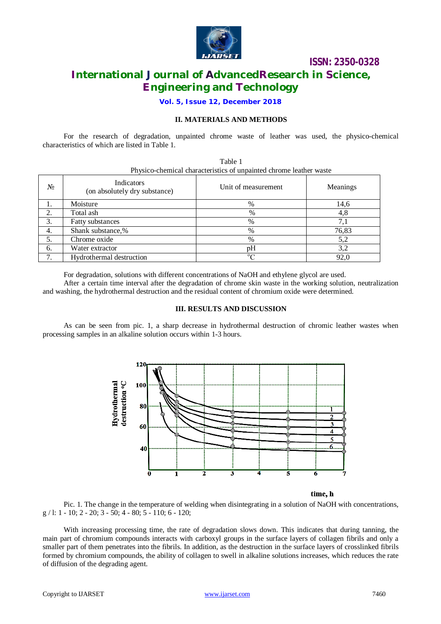

# **International Journal of AdvancedResearch in Science, Engineering and Technology**

**Vol. 5, Issue 12, December 2018**

### **II. MATERIALS AND METHODS**

Table 1

For the research of degradation, unpainted chrome waste of leather was used, the physico-chemical characteristics of which are listed in Table 1.

| Physico-chemical characteristics of unpainted chrome leather waste |                                             |                     |          |
|--------------------------------------------------------------------|---------------------------------------------|---------------------|----------|
| $N_2$                                                              | Indicators<br>(on absolutely dry substance) | Unit of measurement | Meanings |
| 1.                                                                 | Moisture                                    | %                   | 14,6     |
| 2.                                                                 | Total ash                                   | $\%$                | 4.8      |
| $\overline{3}$ .                                                   | Fatty substances                            | $\%$                | 7,1      |
| 4.                                                                 | Shank substance,%                           | %                   | 76,83    |
| $\overline{5}$ .                                                   | Chrome oxide                                | %                   | 5,2      |
| 6.                                                                 | Water extractor                             | pH                  | 3,2      |
| 7.                                                                 | Hydrothermal destruction                    | $\Omega$            | 92,0     |

For degradation, solutions with different concentrations of NaOH and ethylene glycol are used.

After a certain time interval after the degradation of chrome skin waste in the working solution, neutralization and washing, the hydrothermal destruction and the residual content of chromium oxide were determined.

### **III. RESULTS AND DISCUSSION**

As can be seen from pic. 1, a sharp decrease in hydrothermal destruction of chromic leather wastes when processing samples in an alkaline solution occurs within 1-3 hours.



### time, h

Pic. 1. The change in the temperature of welding when disintegrating in a solution of NaOH with concentrations, g / l: 1 - 10; 2 - 20; 3 - 50; 4 - 80; 5 - 110; 6 - 120;

With increasing processing time, the rate of degradation slows down. This indicates that during tanning, the main part of chromium compounds interacts with carboxyl groups in the surface layers of collagen fibrils and only a smaller part of them penetrates into the fibrils. In addition, as the destruction in the surface layers of crosslinked fibrils formed by chromium compounds, the ability of collagen to swell in alkaline solutions increases, which reduces the rate of diffusion of the degrading agent.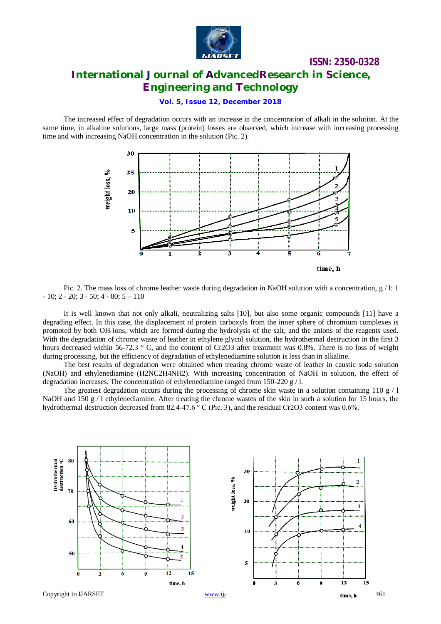

# **ISSN: 2350-0328 International Journal of AdvancedResearch in Science, Engineering and Technology**

### **Vol. 5, Issue 12, December 2018**

The increased effect of degradation occurs with an increase in the concentration of alkali in the solution. At the same time, in alkaline solutions, large mass (protein) losses are observed, which increase with increasing processing time and with increasing NaOH concentration in the solution (Pic. 2).



Pic. 2. The mass loss of chrome leather waste during degradation in NaOH solution with a concentration,  $g / l$ : 1  $-10$ ; 2  $-20$ ; 3  $-50$ ; 4  $-80$ ; 5  $-110$ 

It is well known that not only alkali, neutralizing salts [10], but also some organic compounds [11] have a degrading effect. In this case, the displacement of protein carboxyls from the inner sphere of chromium complexes is promoted by both OH-ions, which are formed during the hydrolysis of the salt, and the anions of the reagents used. With the degradation of chrome waste of leather in ethylene glycol solution, the hydrothermal destruction in the first 3 hours decreased within 56-72.3 ° C, and the content of Cr2O3 after treatment was 0.8%. There is no loss of weight during processing, but the efficiency of degradation of ethylenediamine solution is less than in alkaline.

The best results of degradation were obtained when treating chrome waste of leather in caustic soda solution (NaOH) and ethylenediamine (H2NC2H4NH2). With increasing concentration of NaOH in solution, the effect of degradation increases. The concentration of ethylenediamine ranged from 150-220 g / l.

The greatest degradation occurs during the processing of chrome skin waste in a solution containing 110 g / l NaOH and 150 g / l ethylenediamine. After treating the chrome wastes of the skin in such a solution for 15 hours, the hydrothermal destruction decreased from 82.4-47.6 ° С (Pic. 3), and the residual Cr2O3 content was 0.6%.

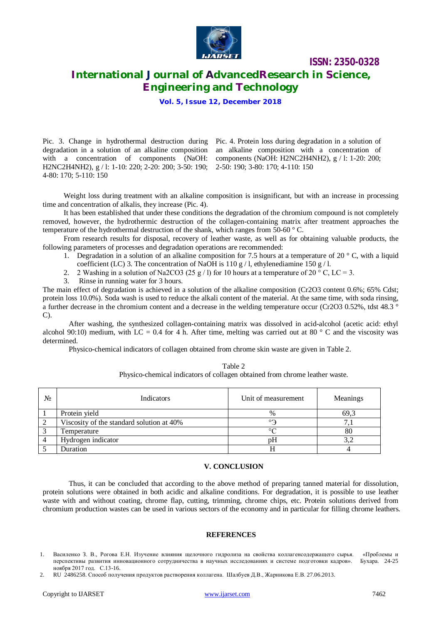

# **International Journal of AdvancedResearch in Science, Engineering and Technology**

**Vol. 5, Issue 12, December 2018**

Pic. 3. Change in hydrothermal destruction during Pic. 4. Protein loss during degradation in a solution of degradation in a solution of an alkaline composition with a concentration of components (NaOH: components (NaOH: H2NC2H4NH2), g / 1: 1-20: 200; H2NC2H4NH2), g / l: 1-10: 220; 2-20: 200; 3-50: 190; 2-50: 190; 3-80: 170; 4-110: 150 4-80: 170; 5-110: 150

an alkaline composition with a concentration of

Weight loss during treatment with an alkaline composition is insignificant, but with an increase in processing time and concentration of alkalis, they increase (Pic. 4).

It has been established that under these conditions the degradation of the chromium compound is not completely removed, however, the hydrothermic destruction of the collagen-containing matrix after treatment approaches the temperature of the hydrothermal destruction of the shank, which ranges from 50-60  $\degree$  C.

From research results for disposal, recovery of leather waste, as well as for obtaining valuable products, the following parameters of processes and degradation operations are recommended:

- 1. Degradation in a solution of an alkaline composition for 7.5 hours at a temperature of 20  $\degree$  C, with a liquid coefficient (LC) 3. The concentration of NaOH is 110 g / l, ethylenediamine 150 g / l.
- 2. 2 Washing in a solution of Na2CO3 (25 g / l) for 10 hours at a temperature of 20  $\degree$  C, LC = 3.
- 3. Rinse in running water for 3 hours.

The main effect of degradation is achieved in a solution of the alkaline composition (Cr2O3 content 0.6%; 65% Cdst; protein loss 10.0%). Soda wash is used to reduce the alkali content of the material. At the same time, with soda rinsing, a further decrease in the chromium content and a decrease in the welding temperature occur (Cr2O3 0.52%, tdst 48.3 ° C).

After washing, the synthesized collagen-containing matrix was dissolved in acid-alcohol (acetic acid: ethyl alcohol 90:10) medium, with LC = 0.4 for 4 h. After time, melting was carried out at 80  $^{\circ}$  C and the viscosity was determined.

Table 2

Physico-chemical indicators of collagen obtained from chrome skin waste are given in Table 2.

|                | Physico-chemical indicators of collagen obtained from chrome leather waste. |                     |          |  |  |
|----------------|-----------------------------------------------------------------------------|---------------------|----------|--|--|
| N <sub>2</sub> | Indicators                                                                  | Unit of measurement | Meanings |  |  |
|                | Protein yield                                                               | $\%$                | 69.3     |  |  |
|                | Viscosity of the standard solution at 40%                                   | ാ                   |          |  |  |
|                | Temperature                                                                 | $\circ$             | 80       |  |  |

Hydrogen indicator by the state of the state of the state of the state of the state of the state of the state of the state of the state of the state of the state of the state of the state of the state of the state of the s 5 Duration **H** 4

### **V. CONCLUSION**

Thus, it can be concluded that according to the above method of preparing tanned material for dissolution, protein solutions were obtained in both acidic and alkaline conditions. For degradation, it is possible to use leather waste with and without coating, chrome flap, cutting, trimming, chrome chips, etc. Protein solutions derived from chromium production wastes can be used in various sectors of the economy and in particular for filling chrome leathers.

#### **REFERENCES**

<sup>1.</sup> Василенко З. В., Рогова Е.Н. Изучение влияния щелочного гидролиза на свойства коллагенсодержащего сырья. «Проблемы и перспективы развития инновационного сотрудничества в научных исследованиях и системе подготовки кадров». Бухара. 24-25 ноября 2017 год. С.13-16.

<sup>2.</sup> RU 2486258. Способ получения продуктов растворения коллагена. Шалбуев Д.В., Жарникова Е.В. 27.06.2013.